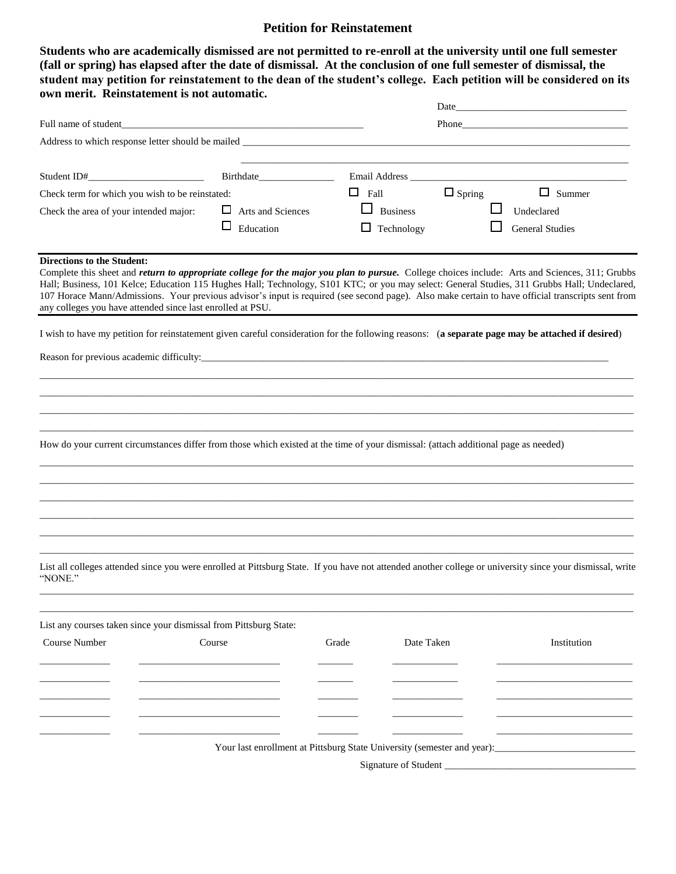## **Petition for Reinstatement**

**Students who are academically dismissed are not permitted to re-enroll at the university until one full semester (fall or spring) has elapsed after the date of dismissal. At the conclusion of one full semester of dismissal, the student may petition for reinstatement to the dean of the student's college. Each petition will be considered on its own merit. Reinstatement is not automatic.**

|                                                 |                                                                                                                                                                                                                                                                                                                                                                                                                                                                                                                           |                                                                         |                          |               | Date and the contract of the contract of the contract of the contract of the contract of the contract of the contract of the contract of the contract of the contract of the contract of the contract of the contract of the c |  |  |  |
|-------------------------------------------------|---------------------------------------------------------------------------------------------------------------------------------------------------------------------------------------------------------------------------------------------------------------------------------------------------------------------------------------------------------------------------------------------------------------------------------------------------------------------------------------------------------------------------|-------------------------------------------------------------------------|--------------------------|---------------|--------------------------------------------------------------------------------------------------------------------------------------------------------------------------------------------------------------------------------|--|--|--|
| Full name of student                            |                                                                                                                                                                                                                                                                                                                                                                                                                                                                                                                           |                                                                         | Phone <b>Proprietion</b> |               |                                                                                                                                                                                                                                |  |  |  |
|                                                 | Address to which response letter should be mailed _______________________________                                                                                                                                                                                                                                                                                                                                                                                                                                         |                                                                         |                          |               |                                                                                                                                                                                                                                |  |  |  |
|                                                 |                                                                                                                                                                                                                                                                                                                                                                                                                                                                                                                           |                                                                         |                          |               |                                                                                                                                                                                                                                |  |  |  |
| Student ID#_                                    | Birthdate                                                                                                                                                                                                                                                                                                                                                                                                                                                                                                                 |                                                                         |                          |               |                                                                                                                                                                                                                                |  |  |  |
| Check term for which you wish to be reinstated: |                                                                                                                                                                                                                                                                                                                                                                                                                                                                                                                           | $\Box$ Fall                                                             |                          | $\Box$ Spring | $\Box$ Summer                                                                                                                                                                                                                  |  |  |  |
| Check the area of your intended major:          | $\Box$ Arts and Sciences                                                                                                                                                                                                                                                                                                                                                                                                                                                                                                  |                                                                         | $\Box$ Business          |               | Undeclared                                                                                                                                                                                                                     |  |  |  |
|                                                 | $\Box$<br>Education                                                                                                                                                                                                                                                                                                                                                                                                                                                                                                       |                                                                         | $\Box$ Technology        |               | <b>General Studies</b>                                                                                                                                                                                                         |  |  |  |
| <b>Directions to the Student:</b>               | Complete this sheet and <i>return to appropriate college for the major you plan to pursue.</i> College choices include: Arts and Sciences, 311; Grubbs<br>Hall; Business, 101 Kelce; Education 115 Hughes Hall; Technology, S101 KTC; or you may select: General Studies, 311 Grubbs Hall; Undeclared,<br>107 Horace Mann/Admissions. Your previous advisor's input is required (see second page). Also make certain to have official transcripts sent from<br>any colleges you have attended since last enrolled at PSU. |                                                                         |                          |               |                                                                                                                                                                                                                                |  |  |  |
|                                                 | I wish to have my petition for reinstatement given careful consideration for the following reasons: (a separate page may be attached if desired)                                                                                                                                                                                                                                                                                                                                                                          |                                                                         |                          |               |                                                                                                                                                                                                                                |  |  |  |
|                                                 |                                                                                                                                                                                                                                                                                                                                                                                                                                                                                                                           |                                                                         |                          |               |                                                                                                                                                                                                                                |  |  |  |
|                                                 |                                                                                                                                                                                                                                                                                                                                                                                                                                                                                                                           |                                                                         |                          |               |                                                                                                                                                                                                                                |  |  |  |
|                                                 |                                                                                                                                                                                                                                                                                                                                                                                                                                                                                                                           |                                                                         |                          |               |                                                                                                                                                                                                                                |  |  |  |
|                                                 |                                                                                                                                                                                                                                                                                                                                                                                                                                                                                                                           |                                                                         |                          |               |                                                                                                                                                                                                                                |  |  |  |
|                                                 | How do your current circumstances differ from those which existed at the time of your dismissal: (attach additional page as needed)                                                                                                                                                                                                                                                                                                                                                                                       |                                                                         |                          |               |                                                                                                                                                                                                                                |  |  |  |
|                                                 |                                                                                                                                                                                                                                                                                                                                                                                                                                                                                                                           |                                                                         |                          |               |                                                                                                                                                                                                                                |  |  |  |
|                                                 |                                                                                                                                                                                                                                                                                                                                                                                                                                                                                                                           |                                                                         |                          |               |                                                                                                                                                                                                                                |  |  |  |
|                                                 |                                                                                                                                                                                                                                                                                                                                                                                                                                                                                                                           |                                                                         |                          |               |                                                                                                                                                                                                                                |  |  |  |
|                                                 |                                                                                                                                                                                                                                                                                                                                                                                                                                                                                                                           |                                                                         |                          |               |                                                                                                                                                                                                                                |  |  |  |
|                                                 | List all colleges attended since you were enrolled at Pittsburg State. If you have not attended another college or university since your dismissal, write                                                                                                                                                                                                                                                                                                                                                                 |                                                                         |                          |               |                                                                                                                                                                                                                                |  |  |  |
| "NONE."                                         |                                                                                                                                                                                                                                                                                                                                                                                                                                                                                                                           |                                                                         |                          |               |                                                                                                                                                                                                                                |  |  |  |
|                                                 | List any courses taken since your dismissal from Pittsburg State:                                                                                                                                                                                                                                                                                                                                                                                                                                                         |                                                                         |                          |               |                                                                                                                                                                                                                                |  |  |  |
| <b>Course Number</b>                            | Course                                                                                                                                                                                                                                                                                                                                                                                                                                                                                                                    | Grade                                                                   | Date Taken               |               | Institution                                                                                                                                                                                                                    |  |  |  |
|                                                 |                                                                                                                                                                                                                                                                                                                                                                                                                                                                                                                           |                                                                         |                          |               |                                                                                                                                                                                                                                |  |  |  |
|                                                 |                                                                                                                                                                                                                                                                                                                                                                                                                                                                                                                           |                                                                         |                          |               |                                                                                                                                                                                                                                |  |  |  |
|                                                 |                                                                                                                                                                                                                                                                                                                                                                                                                                                                                                                           |                                                                         |                          |               |                                                                                                                                                                                                                                |  |  |  |
|                                                 |                                                                                                                                                                                                                                                                                                                                                                                                                                                                                                                           |                                                                         |                          |               |                                                                                                                                                                                                                                |  |  |  |
|                                                 |                                                                                                                                                                                                                                                                                                                                                                                                                                                                                                                           | Your last enrollment at Pittsburg State University (semester and year): |                          |               |                                                                                                                                                                                                                                |  |  |  |
|                                                 |                                                                                                                                                                                                                                                                                                                                                                                                                                                                                                                           |                                                                         | Signature of Student     |               |                                                                                                                                                                                                                                |  |  |  |